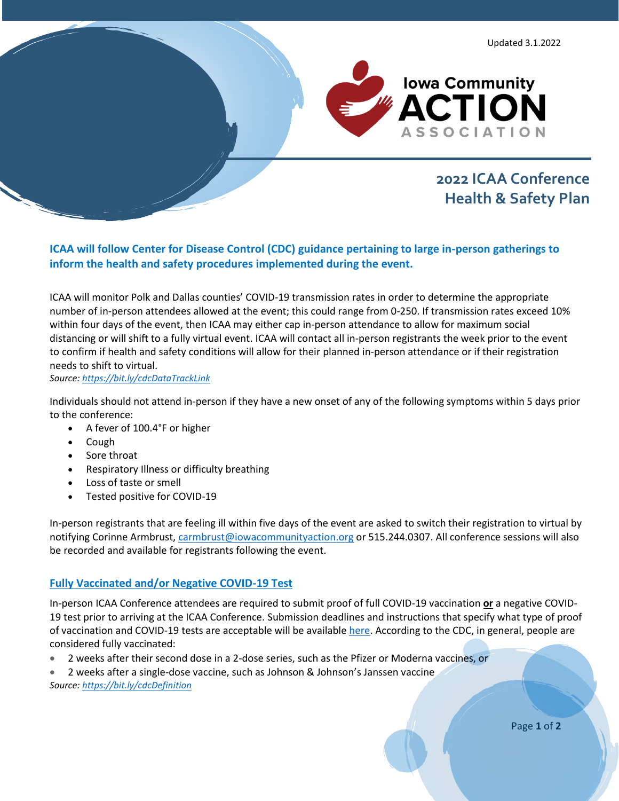

# **2022 ICAA Conference Health & Safety Plan**

**ICAA will follow Center for Disease Control (CDC) guidance pertaining to large in-person gatherings to inform the health and safety procedures implemented during the event.**

ICAA will monitor Polk and Dallas counties' COVID-19 transmission rates in order to determine the appropriate number of in-person attendees allowed at the event; this could range from 0-250. If transmission rates exceed 10% within four days of the event, then ICAA may either cap in-person attendance to allow for maximum social distancing or will shift to a fully virtual event. ICAA will contact all in-person registrants the week prior to the event to confirm if health and safety conditions will allow for their planned in-person attendance or if their registration needs to shift to virtual.

*Source[: https://bit.ly/cdcDataTrackLink](https://bit.ly/cdcDataTrackLink)*

Individuals should not attend in-person if they have a new onset of any of the following symptoms within 5 days prior to the conference:

- A fever of 100.4°F or higher
- Cough
- Sore throat
- Respiratory Illness or difficulty breathing
- Loss of taste or smell
- Tested positive for COVID-19

In-person registrants that are feeling ill within five days of the event are asked to switch their registration to virtual by notifying Corinne Armbrust, [carmbrust@iowacommunityaction.org](mailto:carmbrust@iowacommunityaction.org) or 515.244.0307. All conference sessions will also be recorded and available for registrants following the event.

## **Fully Vaccinated and/or Negative COVID-19 Test**

In-person ICAA Conference attendees are required to submit proof of full COVID-19 vaccination **or** a negative COVID-19 test prior to arriving at the ICAA Conference. Submission deadlines and instructions that specify what type of proof of vaccination and COVID-19 tests are acceptable will be availabl[e here.](https://iowacommunityaction.org/icaaconference/) According to the CDC, in general, people are considered fully vaccinated:

- 2 weeks after their second dose in a 2-dose series, such as the Pfizer or Moderna vaccines, or
- 2 weeks after a single-dose vaccine, such as Johnson & Johnson's Janssen vaccine *Source: <https://bit.ly/cdcDefinition>*

Page **1** of **2**